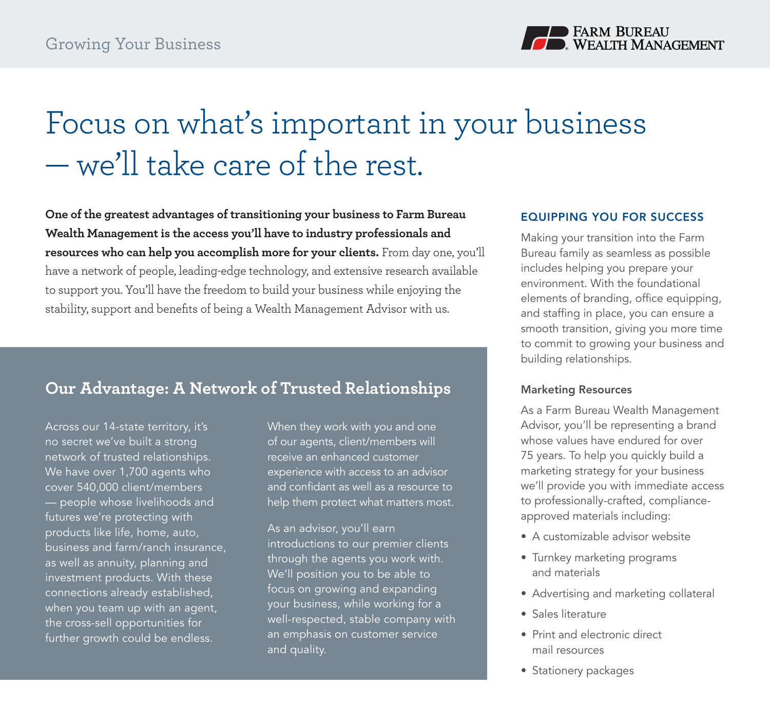

# Focus on what's important in your business — we'll take care of the rest.

**One of the greatest advantages of transitioning your business to Farm Bureau Wealth Management is the access you'll have to industry professionals and resources who can help you accomplish more for your clients.** From day one, you'll have a network of people, leading-edge technology, and extensive research available to support you. You'll have the freedom to build your business while enjoying the stability, support and benefits of being a Wealth Management Advisor with us.

# **Our Advantage: A Network of Trusted Relationships**

Across our 14-state territory, it's no secret we've built a strong network of trusted relationships. We have over 1,700 agents who cover 540,000 client/members — people whose livelihoods and futures we're protecting with products like life, home, auto, business and farm/ranch insurance, as well as annuity, planning and investment products. With these connections already established, when you team up with an agent, the cross-sell opportunities for further growth could be endless.

When they work with you and one of our agents, client/members will receive an enhanced customer experience with access to an advisor and confidant as well as a resource to help them protect what matters most.

As an advisor, you'll earn introductions to our premier clients through the agents you work with. We'll position you to be able to focus on growing and expanding your business, while working for a well-respected, stable company with an emphasis on customer service and quality.

### EQUIPPING YOU FOR SUCCESS

Making your transition into the Farm Bureau family as seamless as possible includes helping you prepare your environment. With the foundational elements of branding, office equipping, and staffing in place, you can ensure a smooth transition, giving you more time to commit to growing your business and building relationships.

#### Marketing Resources

As a Farm Bureau Wealth Management Advisor, you'll be representing a brand whose values have endured for over 75 years. To help you quickly build a marketing strategy for your business we'll provide you with immediate access to professionally-crafted, complianceapproved materials including:

- A customizable advisor website
- Turnkey marketing programs and materials
- Advertising and marketing collateral
- Sales literature
- Print and electronic direct mail resources
- Stationery packages